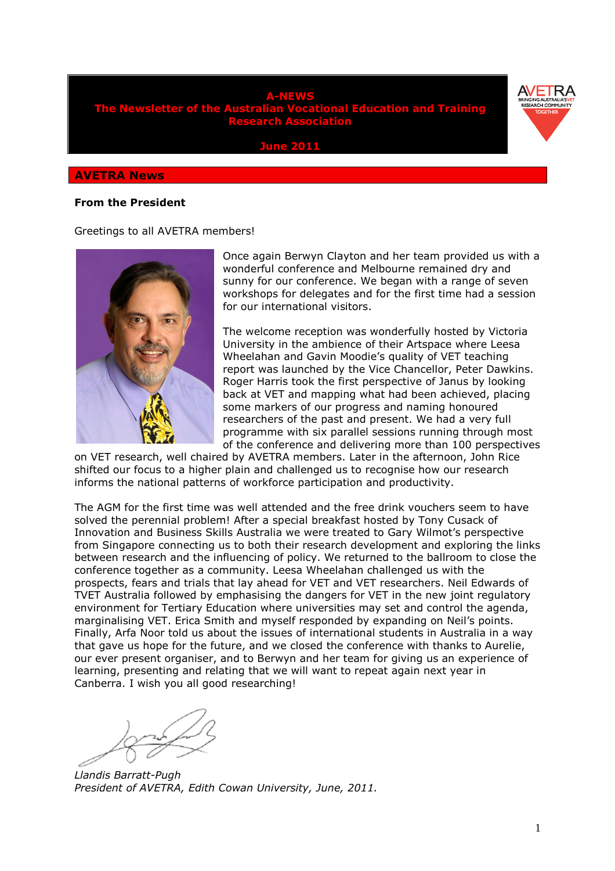

**June 2011** 

#### **AVETRA News**

#### **From the President**

Greetings to all AVETRA members!



Once again Berwyn Clayton and her team provided us with a wonderful conference and Melbourne remained dry and sunny for our conference. We began with a range of seven workshops for delegates and for the first time had a session for our international visitors.

The welcome reception was wonderfully hosted by Victoria University in the ambience of their Artspace where Leesa Wheelahan and Gavin Moodie's quality of VET teaching report was launched by the Vice Chancellor, Peter Dawkins. Roger Harris took the first perspective of Janus by looking back at VET and mapping what had been achieved, placing some markers of our progress and naming honoured researchers of the past and present. We had a very full programme with six parallel sessions running through most of the conference and delivering more than 100 perspectives

on VET research, well chaired by AVETRA members. Later in the afternoon, John Rice shifted our focus to a higher plain and challenged us to recognise how our research informs the national patterns of workforce participation and productivity.

The AGM for the first time was well attended and the free drink vouchers seem to have solved the perennial problem! After a special breakfast hosted by Tony Cusack of Innovation and Business Skills Australia we were treated to Gary Wilmot's perspective from Singapore connecting us to both their research development and exploring the links between research and the influencing of policy. We returned to the ballroom to close the conference together as a community. Leesa Wheelahan challenged us with the prospects, fears and trials that lay ahead for VET and VET researchers. Neil Edwards of TVET Australia followed by emphasising the dangers for VET in the new joint regulatory environment for Tertiary Education where universities may set and control the agenda, marginalising VET. Erica Smith and myself responded by expanding on Neil's points. Finally, Arfa Noor told us about the issues of international students in Australia in a way that gave us hope for the future, and we closed the conference with thanks to Aurelie, our ever present organiser, and to Berwyn and her team for giving us an experience of learning, presenting and relating that we will want to repeat again next year in Canberra. I wish you all good researching!

*Llandis Barratt-Pugh President of AVETRA, Edith Cowan University, June, 2011.*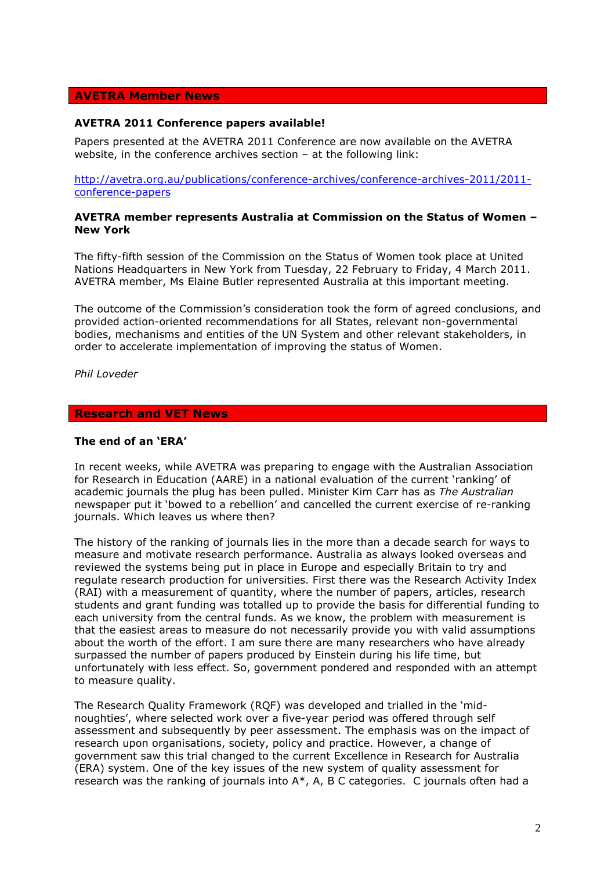## **AVETRA Member News**

#### **AVETRA 2011 Conference papers available!**

Papers presented at the AVETRA 2011 Conference are now available on the AVETRA website, in the conference archives section – at the following link:

http://avetra.org.au/publications/conference-archives/conference-archives-2011/2011 conference-papers

#### **AVETRA member represents Australia at Commission on the Status of Women – New York**

The fifty-fifth session of the Commission on the Status of Women took place at United Nations Headquarters in New York from Tuesday, 22 February to Friday, 4 March 2011. AVETRA member, Ms Elaine Butler represented Australia at this important meeting.

The outcome of the Commission's consideration took the form of agreed conclusions, and provided action-oriented recommendations for all States, relevant non-governmental bodies, mechanisms and entities of the UN System and other relevant stakeholders, in order to accelerate implementation of improving the status of Women.

*Phil Loveder* 

## **Research and VET News**

#### **The end of an 'ERA'**

In recent weeks, while AVETRA was preparing to engage with the Australian Association for Research in Education (AARE) in a national evaluation of the current 'ranking' of academic journals the plug has been pulled. Minister Kim Carr has as *The Australian* newspaper put it 'bowed to a rebellion' and cancelled the current exercise of re-ranking journals. Which leaves us where then?

The history of the ranking of journals lies in the more than a decade search for ways to measure and motivate research performance. Australia as always looked overseas and reviewed the systems being put in place in Europe and especially Britain to try and regulate research production for universities. First there was the Research Activity Index (RAI) with a measurement of quantity, where the number of papers, articles, research students and grant funding was totalled up to provide the basis for differential funding to each university from the central funds. As we know, the problem with measurement is that the easiest areas to measure do not necessarily provide you with valid assumptions about the worth of the effort. I am sure there are many researchers who have already surpassed the number of papers produced by Einstein during his life time, but unfortunately with less effect. So, government pondered and responded with an attempt to measure quality.

The Research Quality Framework (RQF) was developed and trialled in the 'midnoughties', where selected work over a five-year period was offered through self assessment and subsequently by peer assessment. The emphasis was on the impact of research upon organisations, society, policy and practice. However, a change of government saw this trial changed to the current Excellence in Research for Australia (ERA) system. One of the key issues of the new system of quality assessment for research was the ranking of journals into A\*, A, B C categories. C journals often had a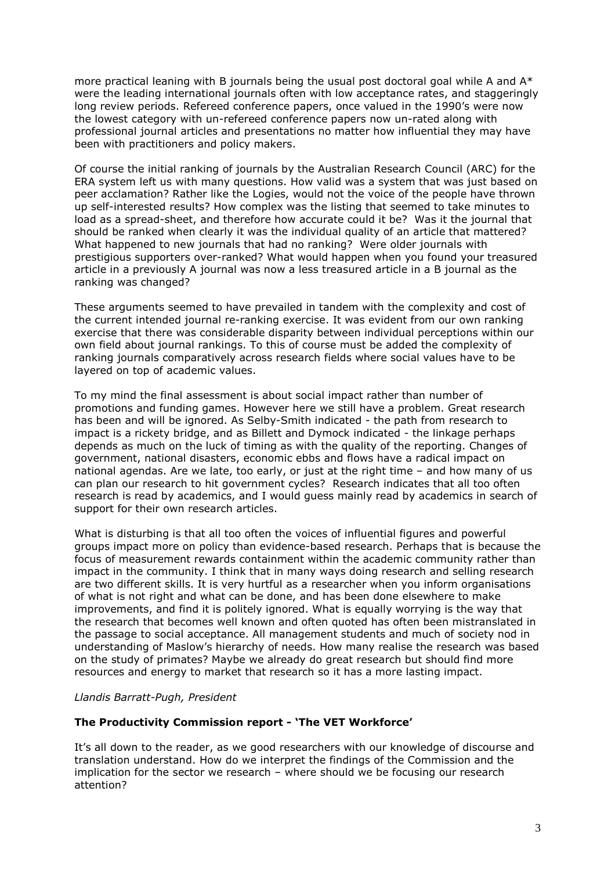more practical leaning with B journals being the usual post doctoral goal while A and  $A^*$ were the leading international journals often with low acceptance rates, and staggeringly long review periods. Refereed conference papers, once valued in the 1990's were now the lowest category with un-refereed conference papers now un-rated along with professional journal articles and presentations no matter how influential they may have been with practitioners and policy makers.

Of course the initial ranking of journals by the Australian Research Council (ARC) for the ERA system left us with many questions. How valid was a system that was just based on peer acclamation? Rather like the Logies, would not the voice of the people have thrown up self-interested results? How complex was the listing that seemed to take minutes to load as a spread-sheet, and therefore how accurate could it be? Was it the journal that should be ranked when clearly it was the individual quality of an article that mattered? What happened to new journals that had no ranking? Were older journals with prestigious supporters over-ranked? What would happen when you found your treasured article in a previously A journal was now a less treasured article in a B journal as the ranking was changed?

These arguments seemed to have prevailed in tandem with the complexity and cost of the current intended journal re-ranking exercise. It was evident from our own ranking exercise that there was considerable disparity between individual perceptions within our own field about journal rankings. To this of course must be added the complexity of ranking journals comparatively across research fields where social values have to be layered on top of academic values.

To my mind the final assessment is about social impact rather than number of promotions and funding games. However here we still have a problem. Great research has been and will be ignored. As Selby-Smith indicated - the path from research to impact is a rickety bridge, and as Billett and Dymock indicated - the linkage perhaps depends as much on the luck of timing as with the quality of the reporting. Changes of government, national disasters, economic ebbs and flows have a radical impact on national agendas. Are we late, too early, or just at the right time – and how many of us can plan our research to hit government cycles? Research indicates that all too often research is read by academics, and I would guess mainly read by academics in search of support for their own research articles.

What is disturbing is that all too often the voices of influential figures and powerful groups impact more on policy than evidence-based research. Perhaps that is because the focus of measurement rewards containment within the academic community rather than impact in the community. I think that in many ways doing research and selling research are two different skills. It is very hurtful as a researcher when you inform organisations of what is not right and what can be done, and has been done elsewhere to make improvements, and find it is politely ignored. What is equally worrying is the way that the research that becomes well known and often quoted has often been mistranslated in the passage to social acceptance. All management students and much of society nod in understanding of Maslow's hierarchy of needs. How many realise the research was based on the study of primates? Maybe we already do great research but should find more resources and energy to market that research so it has a more lasting impact.

*Llandis Barratt-Pugh, President* 

### **The Productivity Commission report - 'The VET Workforce'**

It's all down to the reader, as we good researchers with our knowledge of discourse and translation understand. How do we interpret the findings of the Commission and the implication for the sector we research – where should we be focusing our research attention?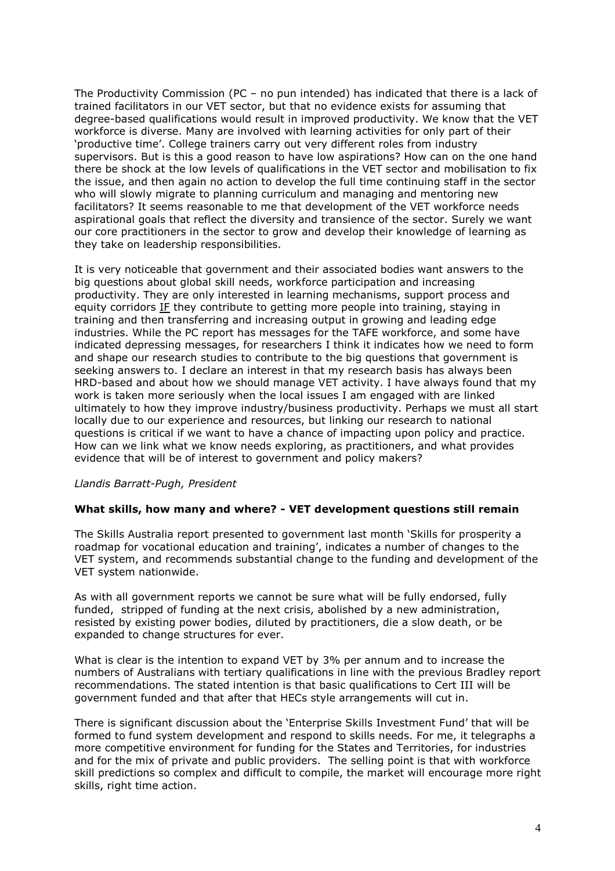The Productivity Commission (PC – no pun intended) has indicated that there is a lack of trained facilitators in our VET sector, but that no evidence exists for assuming that degree-based qualifications would result in improved productivity. We know that the VET workforce is diverse. Many are involved with learning activities for only part of their 'productive time'. College trainers carry out very different roles from industry supervisors. But is this a good reason to have low aspirations? How can on the one hand there be shock at the low levels of qualifications in the VET sector and mobilisation to fix the issue, and then again no action to develop the full time continuing staff in the sector who will slowly migrate to planning curriculum and managing and mentoring new facilitators? It seems reasonable to me that development of the VET workforce needs aspirational goals that reflect the diversity and transience of the sector. Surely we want our core practitioners in the sector to grow and develop their knowledge of learning as they take on leadership responsibilities.

It is very noticeable that government and their associated bodies want answers to the big questions about global skill needs, workforce participation and increasing productivity. They are only interested in learning mechanisms, support process and equity corridors IF they contribute to getting more people into training, staying in training and then transferring and increasing output in growing and leading edge industries. While the PC report has messages for the TAFE workforce, and some have indicated depressing messages, for researchers I think it indicates how we need to form and shape our research studies to contribute to the big questions that government is seeking answers to. I declare an interest in that my research basis has always been HRD-based and about how we should manage VET activity. I have always found that my work is taken more seriously when the local issues I am engaged with are linked ultimately to how they improve industry/business productivity. Perhaps we must all start locally due to our experience and resources, but linking our research to national questions is critical if we want to have a chance of impacting upon policy and practice. How can we link what we know needs exploring, as practitioners, and what provides evidence that will be of interest to government and policy makers?

### *Llandis Barratt-Pugh, President*

#### **What skills, how many and where? - VET development questions still remain**

The Skills Australia report presented to government last month 'Skills for prosperity a roadmap for vocational education and training', indicates a number of changes to the VET system, and recommends substantial change to the funding and development of the VET system nationwide.

As with all government reports we cannot be sure what will be fully endorsed, fully funded, stripped of funding at the next crisis, abolished by a new administration, resisted by existing power bodies, diluted by practitioners, die a slow death, or be expanded to change structures for ever.

What is clear is the intention to expand VET by 3% per annum and to increase the numbers of Australians with tertiary qualifications in line with the previous Bradley report recommendations. The stated intention is that basic qualifications to Cert III will be government funded and that after that HECs style arrangements will cut in.

There is significant discussion about the 'Enterprise Skills Investment Fund' that will be formed to fund system development and respond to skills needs. For me, it telegraphs a more competitive environment for funding for the States and Territories, for industries and for the mix of private and public providers. The selling point is that with workforce skill predictions so complex and difficult to compile, the market will encourage more right skills, right time action.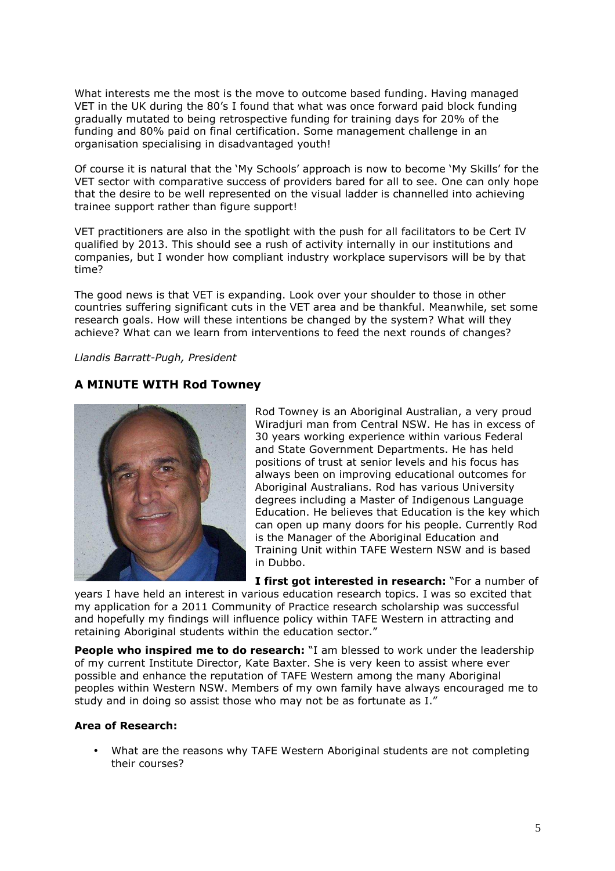What interests me the most is the move to outcome based funding. Having managed VET in the UK during the 80's I found that what was once forward paid block funding gradually mutated to being retrospective funding for training days for 20% of the funding and 80% paid on final certification. Some management challenge in an organisation specialising in disadvantaged youth!

Of course it is natural that the 'My Schools' approach is now to become 'My Skills' for the VET sector with comparative success of providers bared for all to see. One can only hope that the desire to be well represented on the visual ladder is channelled into achieving trainee support rather than figure support!

VET practitioners are also in the spotlight with the push for all facilitators to be Cert IV qualified by 2013. This should see a rush of activity internally in our institutions and companies, but I wonder how compliant industry workplace supervisors will be by that time?

The good news is that VET is expanding. Look over your shoulder to those in other countries suffering significant cuts in the VET area and be thankful. Meanwhile, set some research goals. How will these intentions be changed by the system? What will they achieve? What can we learn from interventions to feed the next rounds of changes?

### *Llandis Barratt-Pugh, President*

# **A MINUTE WITH Rod Towney**



Rod Towney is an Aboriginal Australian, a very proud Wiradjuri man from Central NSW. He has in excess of 30 years working experience within various Federal and State Government Departments. He has held positions of trust at senior levels and his focus has always been on improving educational outcomes for Aboriginal Australians. Rod has various University degrees including a Master of Indigenous Language Education. He believes that Education is the key which can open up many doors for his people. Currently Rod is the Manager of the Aboriginal Education and Training Unit within TAFE Western NSW and is based in Dubbo.

**I first got interested in research:** "For a number of

years I have held an interest in various education research topics. I was so excited that my application for a 2011 Community of Practice research scholarship was successful and hopefully my findings will influence policy within TAFE Western in attracting and retaining Aboriginal students within the education sector."

**People who inspired me to do research:** "I am blessed to work under the leadership of my current Institute Director, Kate Baxter. She is very keen to assist where ever possible and enhance the reputation of TAFE Western among the many Aboriginal peoples within Western NSW. Members of my own family have always encouraged me to study and in doing so assist those who may not be as fortunate as I."

### **Area of Research:**

• What are the reasons why TAFE Western Aboriginal students are not completing their courses?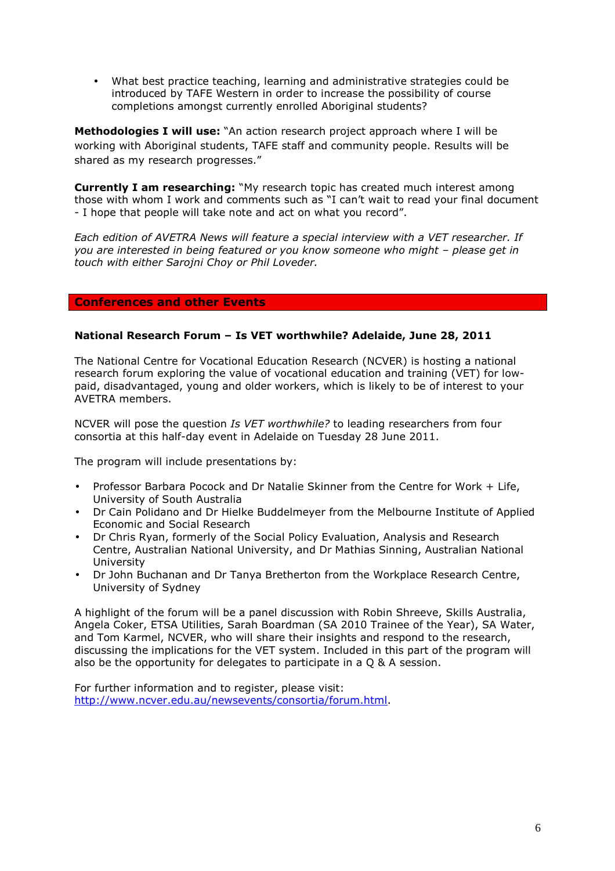• What best practice teaching, learning and administrative strategies could be introduced by TAFE Western in order to increase the possibility of course completions amongst currently enrolled Aboriginal students?

**Methodologies I will use:** "An action research project approach where I will be working with Aboriginal students, TAFE staff and community people. Results will be shared as my research progresses."

**Currently I am researching:** "My research topic has created much interest among those with whom I work and comments such as "I can't wait to read your final document - I hope that people will take note and act on what you record".

*Each edition of AVETRA News will feature a special interview with a VET researcher. If you are interested in being featured or you know someone who might – please get in touch with either Sarojni Choy or Phil Loveder.* 

# **Conferences and other Events**

# **National Research Forum – Is VET worthwhile? Adelaide, June 28, 2011**

The National Centre for Vocational Education Research (NCVER) is hosting a national research forum exploring the value of vocational education and training (VET) for lowpaid, disadvantaged, young and older workers, which is likely to be of interest to your AVETRA members.

NCVER will pose the question *Is VET worthwhile?* to leading researchers from four consortia at this half-day event in Adelaide on Tuesday 28 June 2011.

The program will include presentations by:

- Professor Barbara Pocock and Dr Natalie Skinner from the Centre for Work + Life, University of South Australia
- Dr Cain Polidano and Dr Hielke Buddelmeyer from the Melbourne Institute of Applied Economic and Social Research
- Dr Chris Ryan, formerly of the Social Policy Evaluation, Analysis and Research Centre, Australian National University, and Dr Mathias Sinning, Australian National University
- Dr John Buchanan and Dr Tanya Bretherton from the Workplace Research Centre, University of Sydney

A highlight of the forum will be a panel discussion with Robin Shreeve, Skills Australia, Angela Coker, ETSA Utilities, Sarah Boardman (SA 2010 Trainee of the Year), SA Water, and Tom Karmel, NCVER, who will share their insights and respond to the research, discussing the implications for the VET system. Included in this part of the program will also be the opportunity for delegates to participate in a Q & A session.

For further information and to register, please visit: http://www.ncver.edu.au/newsevents/consortia/forum.html.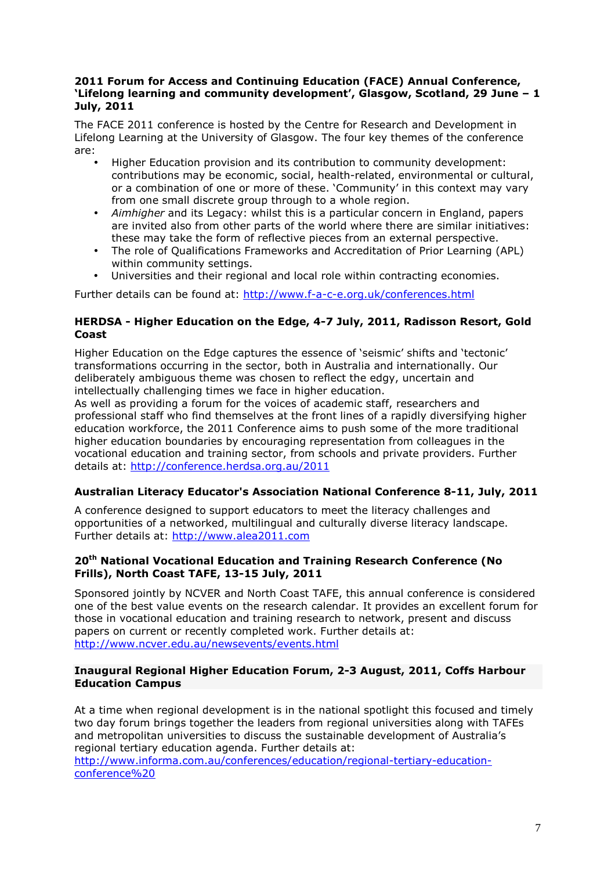# **2011 Forum for Access and Continuing Education (FACE) Annual Conference, 'Lifelong learning and community development', Glasgow, Scotland, 29 June – 1 July, 2011**

The FACE 2011 conference is hosted by the Centre for Research and Development in Lifelong Learning at the University of Glasgow. The four key themes of the conference are:

- Higher Education provision and its contribution to community development: contributions may be economic, social, health-related, environmental or cultural, or a combination of one or more of these. 'Community' in this context may vary from one small discrete group through to a whole region.
- *Aimhigher* and its Legacy: whilst this is a particular concern in England, papers are invited also from other parts of the world where there are similar initiatives: these may take the form of reflective pieces from an external perspective.
- The role of Qualifications Frameworks and Accreditation of Prior Learning (APL) within community settings.
- Universities and their regional and local role within contracting economies.

Further details can be found at: http://www.f-a-c-e.org.uk/conferences.html

# **HERDSA - Higher Education on the Edge, 4-7 July, 2011, Radisson Resort, Gold Coast**

Higher Education on the Edge captures the essence of 'seismic' shifts and 'tectonic' transformations occurring in the sector, both in Australia and internationally. Our deliberately ambiguous theme was chosen to reflect the edgy, uncertain and intellectually challenging times we face in higher education.

As well as providing a forum for the voices of academic staff, researchers and professional staff who find themselves at the front lines of a rapidly diversifying higher education workforce, the 2011 Conference aims to push some of the more traditional higher education boundaries by encouraging representation from colleagues in the vocational education and training sector, from schools and private providers. Further details at: http://conference.herdsa.org.au/2011

# **Australian Literacy Educator's Association National Conference 8-11, July, 2011**

A conference designed to support educators to meet the literacy challenges and opportunities of a networked, multilingual and culturally diverse literacy landscape. Further details at: http://www.alea2011.com

# **20th National Vocational Education and Training Research Conference (No Frills), North Coast TAFE, 13-15 July, 2011**

Sponsored jointly by NCVER and North Coast TAFE, this annual conference is considered one of the best value events on the research calendar. It provides an excellent forum for those in vocational education and training research to network, present and discuss papers on current or recently completed work. Further details at: http://www.ncver.edu.au/newsevents/events.html

# **Inaugural Regional Higher Education Forum, 2-3 August, 2011, Coffs Harbour Education Campus**

At a time when regional development is in the national spotlight this focused and timely two day forum brings together the leaders from regional universities along with TAFEs and metropolitan universities to discuss the sustainable development of Australia's regional tertiary education agenda. Further details at: http://www.informa.com.au/conferences/education/regional-tertiary-education-

conference%20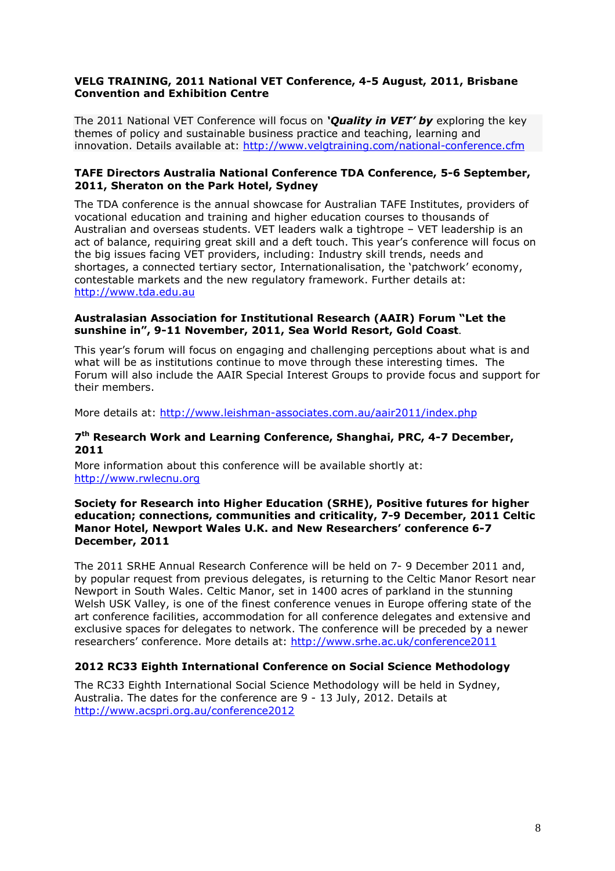# **VELG TRAINING, 2011 National VET Conference, 4-5 August, 2011, Brisbane Convention and Exhibition Centre**

The 2011 National VET Conference will focus on *'Quality in VET' by* exploring the key themes of policy and sustainable business practice and teaching, learning and innovation. Details available at: http://www.velgtraining.com/national-conference.cfm

# **TAFE Directors Australia National Conference TDA Conference, 5-6 September, 2011, Sheraton on the Park Hotel, Sydney**

The TDA conference is the annual showcase for Australian TAFE Institutes, providers of vocational education and training and higher education courses to thousands of Australian and overseas students. VET leaders walk a tightrope – VET leadership is an act of balance, requiring great skill and a deft touch. This year's conference will focus on the big issues facing VET providers, including: Industry skill trends, needs and shortages, a connected tertiary sector, Internationalisation, the 'patchwork' economy, contestable markets and the new regulatory framework. Further details at: http://www.tda.edu.au

# **Australasian Association for Institutional Research (AAIR) Forum "Let the sunshine in", 9-11 November, 2011, Sea World Resort, Gold Coast**.

This year's forum will focus on engaging and challenging perceptions about what is and what will be as institutions continue to move through these interesting times. The Forum will also include the AAIR Special Interest Groups to provide focus and support for their members.

More details at: http://www.leishman-associates.com.au/aair2011/index.php

### **7 th Research Work and Learning Conference, Shanghai, PRC, 4-7 December, 2011**

More information about this conference will be available shortly at: http://www.rwlecnu.org

#### **Society for Research into Higher Education (SRHE), Positive futures for higher education; connections, communities and criticality, 7-9 December, 2011 Celtic Manor Hotel, Newport Wales U.K. and New Researchers' conference 6-7 December, 2011**

The 2011 SRHE Annual Research Conference will be held on 7- 9 December 2011 and, by popular request from previous delegates, is returning to the Celtic Manor Resort near Newport in South Wales. Celtic Manor, set in 1400 acres of parkland in the stunning Welsh USK Valley, is one of the finest conference venues in Europe offering state of the art conference facilities, accommodation for all conference delegates and extensive and exclusive spaces for delegates to network. The conference will be preceded by a newer researchers' conference. More details at: http://www.srhe.ac.uk/conference2011

# **2012 RC33 Eighth International Conference on Social Science Methodology**

The RC33 Eighth International Social Science Methodology will be held in Sydney, Australia. The dates for the conference are 9 - 13 July, 2012. Details at http://www.acspri.org.au/conference2012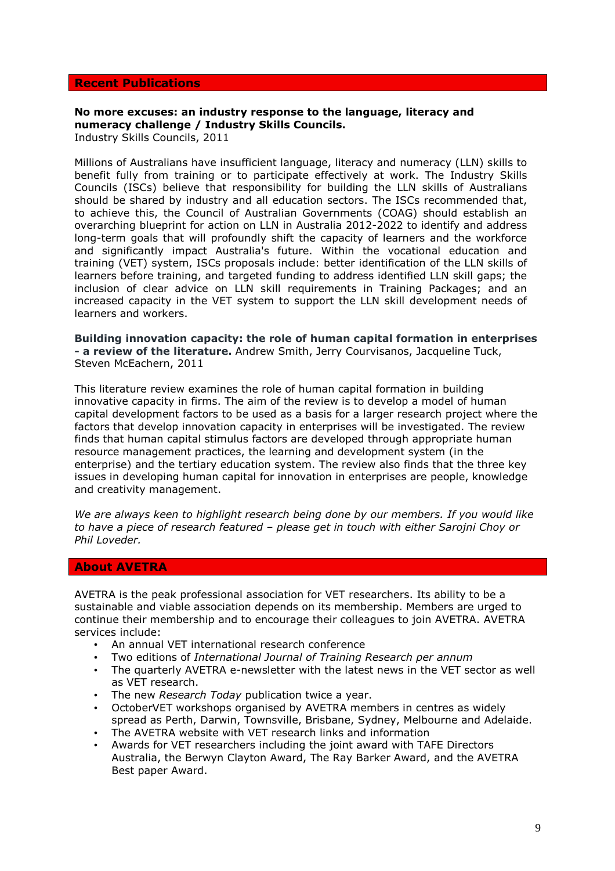### **Recent Publications**

# **No more excuses: an industry response to the language, literacy and numeracy challenge / Industry Skills Councils.**

Industry Skills Councils, 2011

Millions of Australians have insufficient language, literacy and numeracy (LLN) skills to benefit fully from training or to participate effectively at work. The Industry Skills Councils (ISCs) believe that responsibility for building the LLN skills of Australians should be shared by industry and all education sectors. The ISCs recommended that, to achieve this, the Council of Australian Governments (COAG) should establish an overarching blueprint for action on LLN in Australia 2012-2022 to identify and address long-term goals that will profoundly shift the capacity of learners and the workforce and significantly impact Australia's future. Within the vocational education and training (VET) system, ISCs proposals include: better identification of the LLN skills of learners before training, and targeted funding to address identified LLN skill gaps; the inclusion of clear advice on LLN skill requirements in Training Packages; and an increased capacity in the VET system to support the LLN skill development needs of learners and workers.

**Building innovation capacity: the role of human capital formation in enterprises - a review of the literature.** Andrew Smith, Jerry Courvisanos, Jacqueline Tuck, Steven McEachern, 2011

This literature review examines the role of human capital formation in building innovative capacity in firms. The aim of the review is to develop a model of human capital development factors to be used as a basis for a larger research project where the factors that develop innovation capacity in enterprises will be investigated. The review finds that human capital stimulus factors are developed through appropriate human resource management practices, the learning and development system (in the enterprise) and the tertiary education system. The review also finds that the three key issues in developing human capital for innovation in enterprises are people, knowledge and creativity management.

*We are always keen to highlight research being done by our members. If you would like to have a piece of research featured – please get in touch with either Sarojni Choy or Phil Loveder.* 

#### **About AVETRA**

AVETRA is the peak professional association for VET researchers. Its ability to be a sustainable and viable association depends on its membership. Members are urged to continue their membership and to encourage their colleagues to join AVETRA. AVETRA services include:

- An annual VET international research conference
- Two editions of *International Journal of Training Research per annum*
- The quarterly AVETRA e-newsletter with the latest news in the VET sector as well as VET research.
- The new *Research Today* publication twice a year.
- OctoberVET workshops organised by AVETRA members in centres as widely spread as Perth, Darwin, Townsville, Brisbane, Sydney, Melbourne and Adelaide.
- The AVETRA website with VET research links and information
- Awards for VET researchers including the joint award with TAFE Directors Australia, the Berwyn Clayton Award, The Ray Barker Award, and the AVETRA Best paper Award.